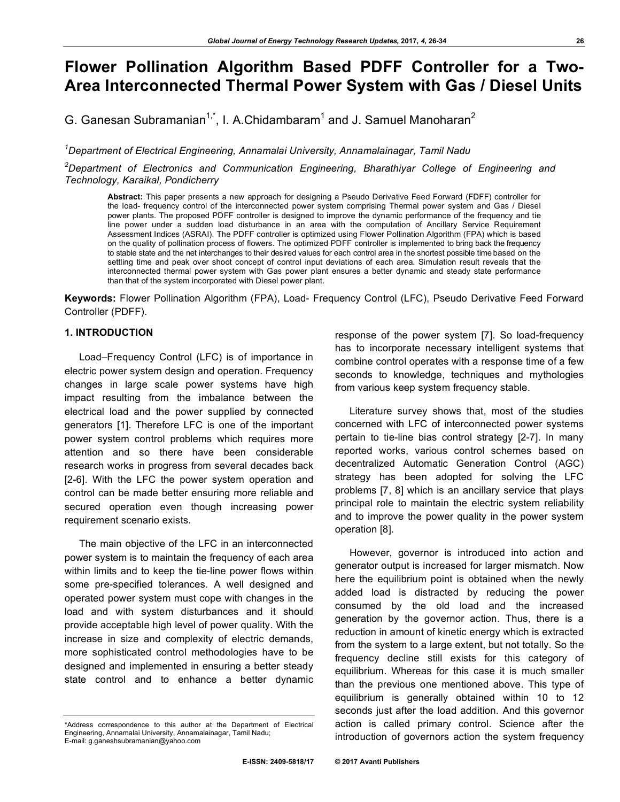# **Flower Pollination Algorithm Based PDFF Controller for a Two-Area Interconnected Thermal Power System with Gas / Diesel Units**

G. Ganesan Subramanian<sup>1,\*</sup>, I. A.Chidambaram<sup>1</sup> and J. Samuel Manoharan<sup>2</sup>

*1 Department of Electrical Engineering, Annamalai University, Annamalainagar, Tamil Nadu*

*2 Department of Electronics and Communication Engineering, Bharathiyar College of Engineering and Technology, Karaikal, Pondicherry*

**Abstract:** This paper presents a new approach for designing a Pseudo Derivative Feed Forward (FDFF) controller for the load- frequency control of the interconnected power system comprising Thermal power system and Gas / Diesel power plants. The proposed PDFF controller is designed to improve the dynamic performance of the frequency and tie line power under a sudden load disturbance in an area with the computation of Ancillary Service Requirement Assessment Indices (ASRAI). The PDFF controller is optimized using Flower Pollination Algorithm (FPA) which is based on the quality of pollination process of flowers. The optimized PDFF controller is implemented to bring back the frequency to stable state and the net interchanges to their desired values for each control area in the shortest possible time based on the settling time and peak over shoot concept of control input deviations of each area. Simulation result reveals that the interconnected thermal power system with Gas power plant ensures a better dynamic and steady state performance than that of the system incorporated with Diesel power plant.

**Keywords:** Flower Pollination Algorithm (FPA), Load- Frequency Control (LFC), Pseudo Derivative Feed Forward Controller (PDFF).

## **1. INTRODUCTION**

Load–Frequency Control (LFC) is of importance in electric power system design and operation. Frequency changes in large scale power systems have high impact resulting from the imbalance between the electrical load and the power supplied by connected generators [1]. Therefore LFC is one of the important power system control problems which requires more attention and so there have been considerable research works in progress from several decades back [2-6]. With the LFC the power system operation and control can be made better ensuring more reliable and secured operation even though increasing power requirement scenario exists.

The main objective of the LFC in an interconnected power system is to maintain the frequency of each area within limits and to keep the tie-line power flows within some pre-specified tolerances. A well designed and operated power system must cope with changes in the load and with system disturbances and it should provide acceptable high level of power quality. With the increase in size and complexity of electric demands, more sophisticated control methodologies have to be designed and implemented in ensuring a better steady state control and to enhance a better dynamic

response of the power system [7]. So load-frequency has to incorporate necessary intelligent systems that combine control operates with a response time of a few seconds to knowledge, techniques and mythologies from various keep system frequency stable.

Literature survey shows that, most of the studies concerned with LFC of interconnected power systems pertain to tie-line bias control strategy [2-7]. In many reported works, various control schemes based on decentralized Automatic Generation Control (AGC) strategy has been adopted for solving the LFC problems [7, 8] which is an ancillary service that plays principal role to maintain the electric system reliability and to improve the power quality in the power system operation [8].

However, governor is introduced into action and generator output is increased for larger mismatch. Now here the equilibrium point is obtained when the newly added load is distracted by reducing the power consumed by the old load and the increased generation by the governor action. Thus, there is a reduction in amount of kinetic energy which is extracted from the system to a large extent, but not totally. So the frequency decline still exists for this category of equilibrium. Whereas for this case it is much smaller than the previous one mentioned above. This type of equilibrium is generally obtained within 10 to 12 seconds just after the load addition. And this governor action is called primary control. Science after the introduction of governors action the system frequency

<sup>\*</sup>Address correspondence to this author at the Department of Electrical Engineering, Annamalai University, Annamalainagar, Tamil Nadu; E-mail: g.ganeshsubramanian@yahoo.com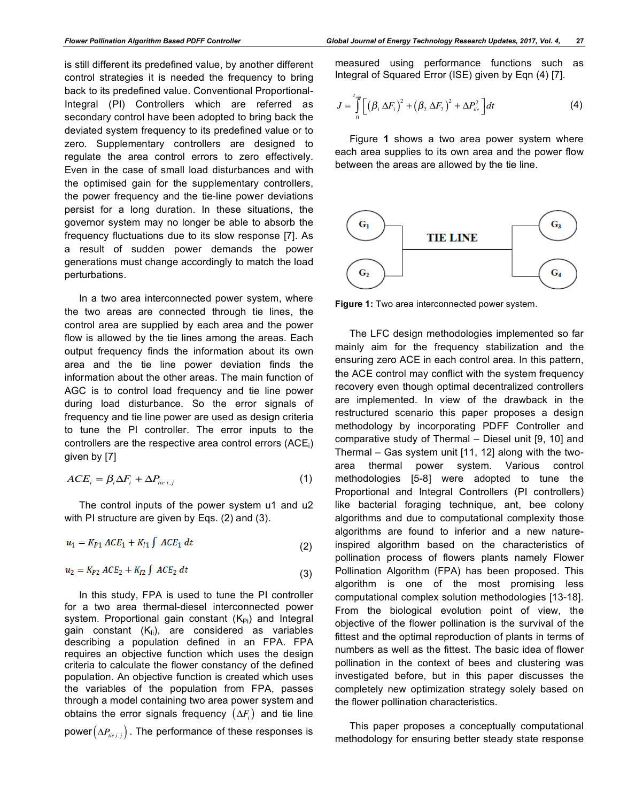is still different its predefined value, by another different control strategies it is needed the frequency to bring back to its predefined value. Conventional Proportional-Integral (PI) Controllers which are referred as secondary control have been adopted to bring back the deviated system frequency to its predefined value or to zero. Supplementary controllers are designed to regulate the area control errors to zero effectively. Even in the case of small load disturbances and with the optimised gain for the supplementary controllers, the power frequency and the tie-line power deviations persist for a long duration. In these situations, the governor system may no longer be able to absorb the frequency fluctuations due to its slow response [7]. As a result of sudden power demands the power generations must change accordingly to match the load perturbations.

In a two area interconnected power system, where the two areas are connected through tie lines, the control area are supplied by each area and the power flow is allowed by the tie lines among the areas. Each output frequency finds the information about its own area and the tie line power deviation finds the information about the other areas. The main function of AGC is to control load frequency and tie line power during load disturbance. So the error signals of frequency and tie line power are used as design criteria to tune the PI controller. The error inputs to the controllers are the respective area control errors (ACEi) given by [7]

$$
ACEi = \betai \Delta Fi + \Delta Ptie i,j
$$
 (1)

The control inputs of the power system u1 and u2 with PI structure are given by Eqs. (2) and (3).

 $u_1 = K_{p_1} ACE_1 + K_{l1} \int ACE_1 dt$ (2)

$$
u_2 = K_{P2} \, ACE_2 + K_{I2} \int \, ACE_2 \, dt \tag{3}
$$

In this study, FPA is used to tune the PI controller for a two area thermal-diesel interconnected power system. Proportional gain constant  $(K_{Pi})$  and Integral gain constant  $(K_{ii})$ , are considered as variables describing a population defined in an FPA. FPA requires an objective function which uses the design criteria to calculate the flower constancy of the defined population. An objective function is created which uses the variables of the population from FPA, passes through a model containing two area power system and obtains the error signals frequency  $(\Delta F_i)$  and tie line

power $(\Delta P_{\text{rel}})$ . The performance of these responses is

measured using performance functions such as Integral of Squared Error (ISE) given by Eqn (4) [7].

$$
J = \int_{0}^{t_{\text{sim}}} \left[ \left( \beta_1 \Delta F_1 \right)^2 + \left( \beta_2 \Delta F_2 \right)^2 + \Delta P_{\text{tie}}^2 \right] dt \tag{4}
$$

Figure **1** shows a two area power system where each area supplies to its own area and the power flow between the areas are allowed by the tie line.



**Figure 1:** Two area interconnected power system.

The LFC design methodologies implemented so far mainly aim for the frequency stabilization and the ensuring zero ACE in each control area. In this pattern, the ACE control may conflict with the system frequency recovery even though optimal decentralized controllers are implemented. In view of the drawback in the restructured scenario this paper proposes a design methodology by incorporating PDFF Controller and comparative study of Thermal – Diesel unit [9, 10] and Thermal – Gas system unit [11, 12] along with the twoarea thermal power system. Various control methodologies [5-8] were adopted to tune the Proportional and Integral Controllers (PI controllers) like bacterial foraging technique, ant, bee colony algorithms and due to computational complexity those algorithms are found to inferior and a new natureinspired algorithm based on the characteristics of pollination process of flowers plants namely Flower Pollination Algorithm (FPA) has been proposed. This algorithm is one of the most promising less computational complex solution methodologies [13-18]. From the biological evolution point of view, the objective of the flower pollination is the survival of the fittest and the optimal reproduction of plants in terms of numbers as well as the fittest. The basic idea of flower pollination in the context of bees and clustering was investigated before, but in this paper discusses the completely new optimization strategy solely based on the flower pollination characteristics.

This paper proposes a conceptually computational methodology for ensuring better steady state response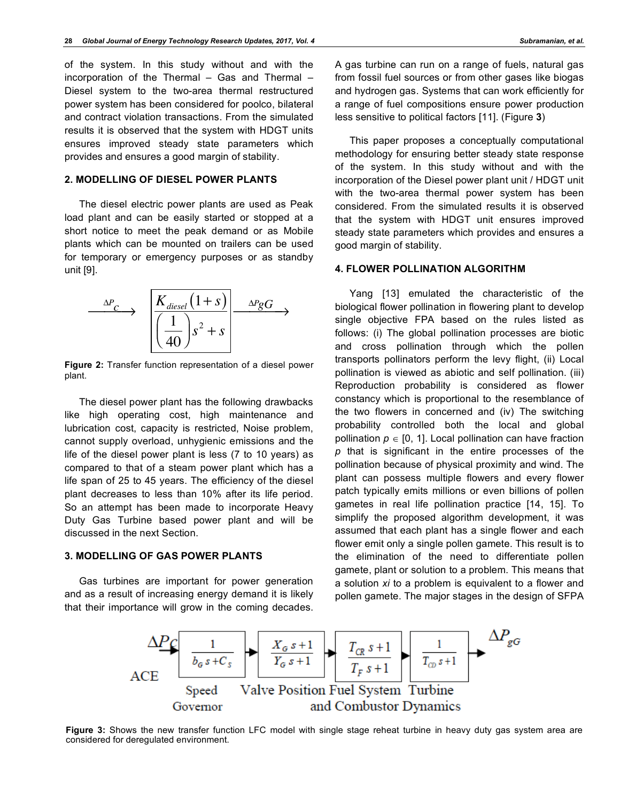of the system. In this study without and with the incorporation of the Thermal – Gas and Thermal – Diesel system to the two-area thermal restructured power system has been considered for poolco, bilateral and contract violation transactions. From the simulated results it is observed that the system with HDGT units ensures improved steady state parameters which provides and ensures a good margin of stability.

## **2. MODELLING OF DIESEL POWER PLANTS**

The diesel electric power plants are used as Peak load plant and can be easily started or stopped at a short notice to meet the peak demand or as Mobile plants which can be mounted on trailers can be used for temporary or emergency purposes or as standby unit [9].



**Figure 2:** Transfer function representation of a diesel power plant.

The diesel power plant has the following drawbacks like high operating cost, high maintenance and lubrication cost, capacity is restricted, Noise problem, cannot supply overload, unhygienic emissions and the life of the diesel power plant is less (7 to 10 years) as compared to that of a steam power plant which has a life span of 25 to 45 years. The efficiency of the diesel plant decreases to less than 10% after its life period. So an attempt has been made to incorporate Heavy Duty Gas Turbine based power plant and will be discussed in the next Section.

## **3. MODELLING OF GAS POWER PLANTS**

Gas turbines are important for power generation and as a result of increasing energy demand it is likely that their importance will grow in the coming decades. A gas turbine can run on a range of fuels, natural gas from fossil fuel sources or from other gases like biogas and hydrogen gas. Systems that can work efficiently for a range of fuel compositions ensure power production less sensitive to political factors [11]. (Figure **3**)

This paper proposes a conceptually computational methodology for ensuring better steady state response of the system. In this study without and with the incorporation of the Diesel power plant unit / HDGT unit with the two-area thermal power system has been considered. From the simulated results it is observed that the system with HDGT unit ensures improved steady state parameters which provides and ensures a good margin of stability.

## **4. FLOWER POLLINATION ALGORITHM**

Yang [13] emulated the characteristic of the biological flower pollination in flowering plant to develop single objective FPA based on the rules listed as follows: (i) The global pollination processes are biotic and cross pollination through which the pollen transports pollinators perform the levy flight, (ii) Local pollination is viewed as abiotic and self pollination. (iii) Reproduction probability is considered as flower constancy which is proportional to the resemblance of the two flowers in concerned and (iv) The switching probability controlled both the local and global pollination  $p \in [0, 1]$ . Local pollination can have fraction *p* that is significant in the entire processes of the pollination because of physical proximity and wind. The plant can possess multiple flowers and every flower patch typically emits millions or even billions of pollen gametes in real life pollination practice [14, 15]. To simplify the proposed algorithm development, it was assumed that each plant has a single flower and each flower emit only a single pollen gamete. This result is to the elimination of the need to differentiate pollen gamete, plant or solution to a problem. This means that a solution *xi* to a problem is equivalent to a flower and pollen gamete. The major stages in the design of SFPA



**Figure 3:** Shows the new transfer function LFC model with single stage reheat turbine in heavy duty gas system area are considered for deregulated environment.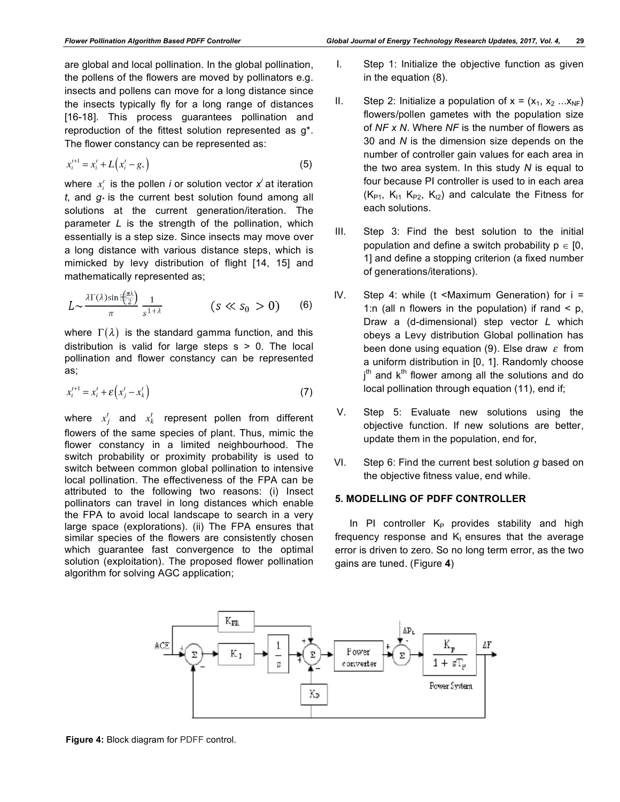are global and local pollination. In the global pollination, the pollens of the flowers are moved by pollinators e.g. insects and pollens can move for a long distance since the insects typically fly for a long range of distances [16-18]. This process guarantees pollination and reproduction of the fittest solution represented as g\*. The flower constancy can be represented as:

$$
x_i^{t+1} = x_i^t + L(x_i^t - g_*)
$$
\n(5)

where  $x_i^t$  is the pollen *i* or solution vector  $x^i$  at iteration *t*, and *g\** is the current best solution found among all solutions at the current generation/iteration. The parameter *L* is the strength of the pollination, which essentially is a step size. Since insects may move over a long distance with various distance steps, which is mimicked by levy distribution of flight [14, 15] and mathematically represented as;

$$
L \sim \frac{\lambda \Gamma(\lambda) \sin\left(\frac{\pi\lambda}{2}\right)}{\pi} \frac{1}{s^{1+\lambda}} \qquad (s \ll s_0 > 0) \qquad (6)
$$

where  $\Gamma(\lambda)$  is the standard gamma function, and this distribution is valid for large steps  $s > 0$ . The local pollination and flower constancy can be represented as;

$$
x_i^{t+1} = x_i^t + \varepsilon \left( x_j^t - x_k^t \right) \tag{7}
$$

where  $x_j^t$  and  $x_k^t$  represent pollen from different flowers of the same species of plant. Thus, mimic the flower constancy in a limited neighbourhood. The switch probability or proximity probability is used to switch between common global pollination to intensive local pollination. The effectiveness of the FPA can be attributed to the following two reasons: (i) Insect pollinators can travel in long distances which enable the FPA to avoid local landscape to search in a very large space (explorations). (ii) The FPA ensures that similar species of the flowers are consistently chosen which guarantee fast convergence to the optimal solution (exploitation). The proposed flower pollination algorithm for solving AGC application;

- I. Step 1: Initialize the objective function as given in the equation (8).
- II. Step 2: Initialize a population of  $x = (x_1, x_2 ... x_{NF})$ flowers/pollen gametes with the population size of *NF x N*. Where *NF* is the number of flowers as 30 and *N* is the dimension size depends on the number of controller gain values for each area in the two area system. In this study *N* is equal to four because PI controller is used to in each area  $(K_{P1}, K_{11} K_{P2}, K_{12})$  and calculate the Fitness for each solutions.
- III. Step 3: Find the best solution to the initial population and define a switch probability  $p \in [0, 1]$ 1] and define a stopping criterion (a fixed number of generations/iterations).
- IV. Step 4: while (t <Maximum Generation) for i = 1:n (all n flowers in the population) if rand  $\leq$  p, Draw a (d-dimensional) step vector *L* which obeys a Levy distribution Global pollination has been done using equation (9). Else draw  $\varepsilon$  from a uniform distribution in [0, 1]. Randomly choose j<sup>th</sup> and k<sup>th</sup> flower among all the solutions and do local pollination through equation (11), end if;
- V. Step 5: Evaluate new solutions using the objective function. If new solutions are better, update them in the population, end for,
- VI. Step 6: Find the current best solution *g* based on the objective fitness value, end while.

## **5. MODELLING OF PDFF CONTROLLER**

In PI controller  $K_P$  provides stability and high frequency response and  $K<sub>1</sub>$  ensures that the average error is driven to zero. So no long term error, as the two gains are tuned. (Figure **4**)



**Figure 4:** Block diagram for PDFF control.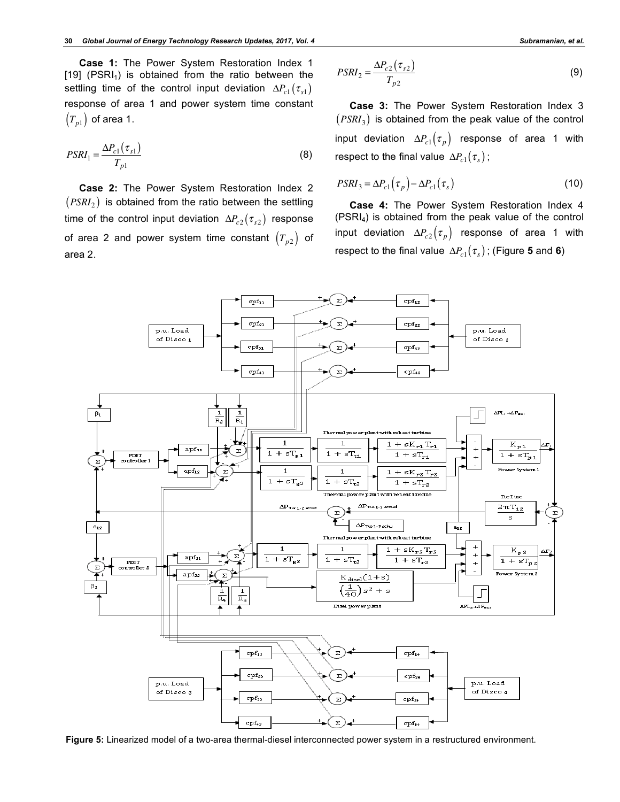**Case 1:** The Power System Restoration Index 1 [19] (PSRI<sub>1</sub>) is obtained from the ratio between the settling time of the control input deviation  $\Delta P_{c1} (\tau_{s1})$ response of area 1 and power system time constant  $(T_{p1})$  of area 1.

$$
PSRI_1 = \frac{\Delta P_{c1}(\tau_{s1})}{T_{p1}}\tag{8}
$$

**Case 2:** The Power System Restoration Index 2  $(PSRI<sub>2</sub>)$  is obtained from the ratio between the settling time of the control input deviation  $\Delta P_{c2} (\tau_{s2})$  response of area 2 and power system time constant  $(T_{p2})$  of area 2.

$$
PSRI_2 = \frac{\Delta P_{c2}(\tau_{s2})}{T_{p2}}
$$
\n(9)

**Case 3:** The Power System Restoration Index 3  $(PSRI<sub>3</sub>)$  is obtained from the peak value of the control input deviation  $\Delta P_{c1}(\tau_p)$  response of area 1 with respect to the final value  $\Delta P_{c1}(\tau_s)$ ;

$$
PSRI_3 = \Delta P_{c1}(\tau_p) - \Delta P_{c1}(\tau_s)
$$
\n(10)

**Case 4:** The Power System Restoration Index 4 (PSRI4) is obtained from the peak value of the control input deviation  $\Delta P_{c2} (\tau_p)$  response of area 1 with respect to the final value  $\Delta P_{c1}(\tau_s)$ ; (Figure 5 and 6)



**Figure 5:** Linearized model of a two-area thermal-diesel interconnected power system in a restructured environment.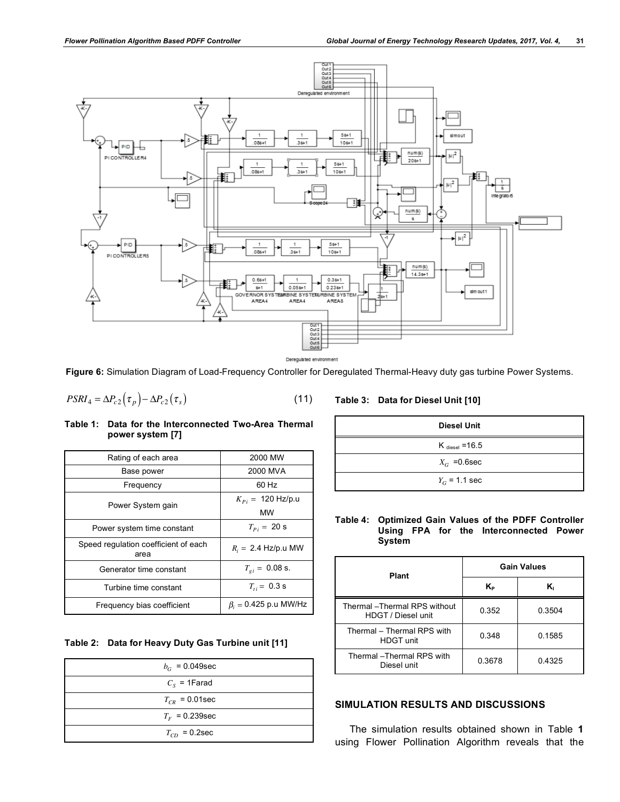

Deregulated environment

**Figure 6:** Simulation Diagram of Load-Frequency Controller for Deregulated Thermal-Heavy duty gas turbine Power Systems.

$$
PSRI_4 = \Delta P_{c2}(\tau_p) - \Delta P_{c2}(\tau_s)
$$
\n(11)

## **Table 1: Data for the Interconnected Two-Area Thermal power system [7]**

| Rating of each area                          | 2000 MW                        |  |  |  |
|----------------------------------------------|--------------------------------|--|--|--|
| Base power                                   | 2000 MVA                       |  |  |  |
| Frequency                                    | 60 Hz                          |  |  |  |
| Power System gain                            | $K_{P_i} = 120$ Hz/p.u<br>МW   |  |  |  |
| Power system time constant                   | $T_{Pi} = 20$ s                |  |  |  |
| Speed regulation coefficient of each<br>area | $R_i = 2.4$ Hz/p.u MW          |  |  |  |
| Generator time constant                      | $T_{\text{o}i} = 0.08$ s.      |  |  |  |
| Turbine time constant                        | $T_{\text{H}} = 0.3 \text{ s}$ |  |  |  |
| Frequency bias coefficient                   | $\beta_i = 0.425$ p.u MW/Hz    |  |  |  |

#### **Table 2: Data for Heavy Duty Gas Turbine unit [11]**

| $b_G = 0.049$ sec    |
|----------------------|
| $C_{\rm s}$ = 1Farad |
| $T_{CR}$ = 0.01sec   |
| $T_F = 0.239$ sec    |
| $T_{CD}$ = 0.2sec    |

## **Table 3: Data for Diesel Unit [10]**

| <b>Diesel Unit</b> |  |
|--------------------|--|
| K diesel = $16.5$  |  |
| $X_G = 0.6$ sec    |  |
| $Y_G$ = 1.1 sec    |  |

#### **Table 4: Optimized Gain Values of the PDFF Controller Using FPA for the Interconnected Power System**

| <b>Plant</b>                                        | <b>Gain Values</b> |        |  |  |
|-----------------------------------------------------|--------------------|--------|--|--|
|                                                     | K,                 | K,     |  |  |
| Thermal - Thermal RPS without<br>HDGT / Diesel unit | 0.352              | 0.3504 |  |  |
| Thermal - Thermal RPS with<br><b>HDGT</b> unit      | 0.348              | 0.1585 |  |  |
| Thermal - Thermal RPS with<br>Diesel unit           | 0.3678             | 0.4325 |  |  |

# **SIMULATION RESULTS AND DISCUSSIONS**

The simulation results obtained shown in Table **1** using Flower Pollination Algorithm reveals that the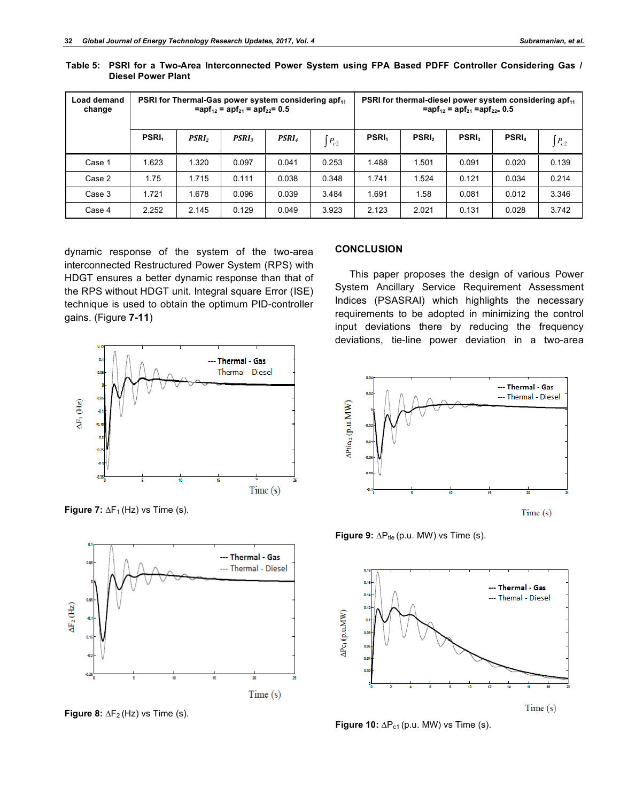| Load demand<br>change | PSRI for Thermal-Gas power system considering apf <sub>11</sub><br>$=$ apf <sub>12</sub> = apf <sub>21</sub> = apf <sub>22</sub> = 0.5 |                          |                          |                   | PSRI for thermal-diesel power system considering apf <sub>11</sub><br>$=$ apf <sub>12</sub> = apf <sub>21</sub> = apf <sub>22=</sub> 0.5 |             |             |             |             |          |
|-----------------------|----------------------------------------------------------------------------------------------------------------------------------------|--------------------------|--------------------------|-------------------|------------------------------------------------------------------------------------------------------------------------------------------|-------------|-------------|-------------|-------------|----------|
|                       | <b>PSRI</b>                                                                                                                            | <b>PSRI</b> <sub>2</sub> | <b>PSRI</b> <sub>2</sub> | PSRI <sub>4</sub> | $P_{c2}$                                                                                                                                 | <b>PSRI</b> | <b>PSRI</b> | <b>PSRI</b> | <b>PSRL</b> | $P_{c2}$ |
| Case 1                | 1.623                                                                                                                                  | 1.320                    | 0.097                    | 0.041             | 0.253                                                                                                                                    | 1.488       | .501        | 0.091       | 0.020       | 0.139    |
| Case 2                | 1.75                                                                                                                                   | 1.715                    | 0.111                    | 0.038             | 0.348                                                                                                                                    | 1.741       | 1.524       | 0.121       | 0.034       | 0.214    |
| Case 3                | 1.721                                                                                                                                  | 1.678                    | 0.096                    | 0.039             | 3.484                                                                                                                                    | 1.691       | 1.58        | 0.081       | 0.012       | 3.346    |
| Case 4                | 2.252                                                                                                                                  | 2.145                    | 0.129                    | 0.049             | 3.923                                                                                                                                    | 2.123       | 2.021       | 0.131       | 0.028       | 3.742    |

**Table 5: PSRI for a Two-Area Interconnected Power System using FPA Based PDFF Controller Considering Gas / Diesel Power Plant**

dynamic response of the system of the two-area interconnected Restructured Power System (RPS) with HDGT ensures a better dynamic response than that of the RPS without HDGT unit. Integral square Error (ISE) technique is used to obtain the optimum PID-controller gains. (Figure **7-11**)



**Figure 7:** ∆F1 (Hz) vs Time (s).



**Figure 8:** ∆F2 (Hz) vs Time (s).

#### **CONCLUSION**

This paper proposes the design of various Power System Ancillary Service Requirement Assessment Indices (PSASRAI) which highlights the necessary requirements to be adopted in minimizing the control input deviations there by reducing the frequency deviations, tie-line power deviation in a two-area



**Figure 9:**  $\Delta P_{\text{tie}}$  (p.u. MW) vs Time (s).



**Figure 10:**  $\Delta P_{c1}$  (p.u. MW) vs Time (s).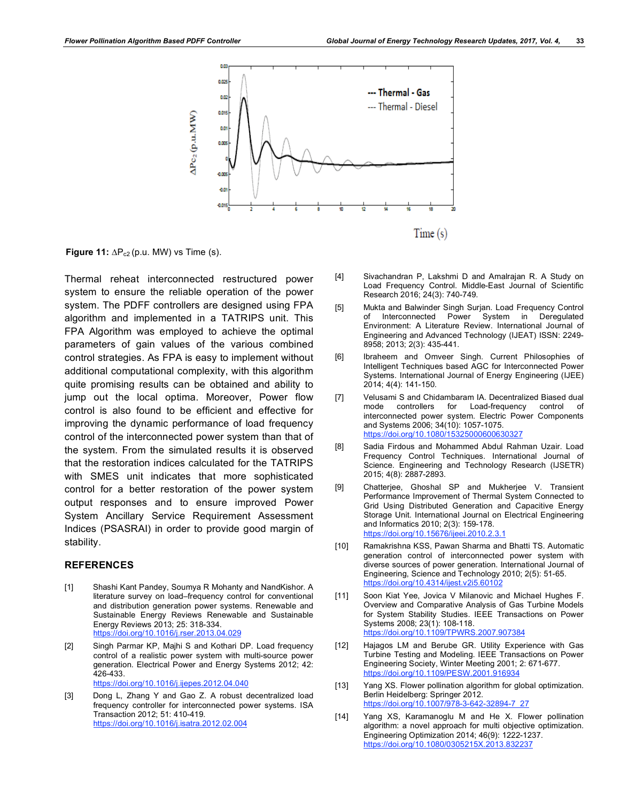

**Figure 11:**  $\Delta P_{c2}$  (p.u. MW) vs Time (s).

Thermal reheat interconnected restructured power system to ensure the reliable operation of the power system. The PDFF controllers are designed using FPA algorithm and implemented in a TATRIPS unit. This FPA Algorithm was employed to achieve the optimal parameters of gain values of the various combined control strategies. As FPA is easy to implement without additional computational complexity, with this algorithm quite promising results can be obtained and ability to jump out the local optima. Moreover, Power flow control is also found to be efficient and effective for improving the dynamic performance of load frequency control of the interconnected power system than that of the system. From the simulated results it is observed that the restoration indices calculated for the TATRIPS with SMES unit indicates that more sophisticated control for a better restoration of the power system output responses and to ensure improved Power System Ancillary Service Requirement Assessment Indices (PSASRAI) in order to provide good margin of stability.

## **REFERENCES**

- [1] Shashi Kant Pandey, Soumya R Mohanty and NandKishor. A literature survey on load–frequency control for conventional and distribution generation power systems. Renewable and Sustainable Energy Reviews Renewable and Sustainable Energy Reviews 2013; 25: 318-334. https://doi.org/10.1016/j.rser.2013.04.029
- [2] Singh Parmar KP, Majhi S and Kothari DP. Load frequency control of a realistic power system with multi-source power generation. Electrical Power and Energy Systems 2012; 42: 426-433. https://doi.org/10.1016/j.ijepes.2012.04.040
- [3] Dong L, Zhang Y and Gao Z. A robust decentralized load frequency controller for interconnected power systems. ISA Transaction 2012; 51: 410-419. https://doi.org/10.1016/j.isatra.2012.02.004
- [4] Sivachandran P, Lakshmi D and Amalrajan R. A Study on Load Frequency Control. Middle-East Journal of Scientific Research 2016; 24(3): 740-749.
- [5] Mukta and Balwinder Singh Surjan. Load Frequency Control Interconnected Power System in Deregulated Environment: A Literature Review. International Journal of Engineering and Advanced Technology (IJEAT) ISSN: 2249- 8958; 2013; 2(3): 435-441.
- [6] Ibraheem and Omveer Singh. Current Philosophies of Intelligent Techniques based AGC for Interconnected Power Systems. International Journal of Energy Engineering (IJEE) 2014; 4(4): 141-150.
- [7] Velusami S and Chidambaram IA. Decentralized Biased dual mode controllers for Load-frequency control of interconnected power system. Electric Power Components and Systems 2006; 34(10): 1057-1075. https://doi.org/10.1080/15325000600630327
- [8] Sadia Firdous and Mohammed Abdul Rahman Uzair. Load Frequency Control Techniques. International Journal of Science. Engineering and Technology Research (IJSETR) 2015; 4(8): 2887-2893.
- [9] Chatterjee, Ghoshal SP and Mukherjee V. Transient Performance Improvement of Thermal System Connected to Grid Using Distributed Generation and Capacitive Energy Storage Unit. International Journal on Electrical Engineering and Informatics 2010; 2(3): 159-178. https://doi.org/10.15676/ijeei.2010.2.3.1
- [10] Ramakrishna KSS, Pawan Sharma and Bhatti TS. Automatic generation control of interconnected power system with diverse sources of power generation. International Journal of Engineering, Science and Technology 2010; 2(5): 51-65. https://doi.org/10.4314/ijest.v2i5.60102
- [11] Soon Kiat Yee, Jovica V Milanovic and Michael Hughes F. Overview and Comparative Analysis of Gas Turbine Models for System Stability Studies. IEEE Transactions on Power Systems 2008; 23(1): 108-118. https://doi.org/10.1109/TPWRS.2007.907384
- [12] Hajagos LM and Berube GR. Utility Experience with Gas Turbine Testing and Modeling. IEEE Transactions on Power Engineering Society, Winter Meeting 2001; 2: 671-677. https://doi.org/10.1109/PESW.2001.916934
- [13] Yang XS. Flower pollination algorithm for global optimization. Berlin Heidelberg: Springer 2012. https://doi.org/10.1007/978-3-642-32894-7\_27
- [14] Yang XS, Karamanoglu M and He X. Flower pollination algorithm: a novel approach for multi objective optimization. Engineering Optimization 2014; 46(9): 1222-1237. https://doi.org/10.1080/0305215X.2013.832237